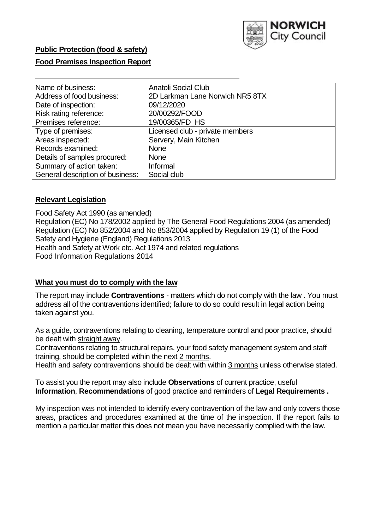

# **Public Protection (food & safety)**

# **Food Premises Inspection Report**

| Name of business:                | <b>Anatoli Social Club</b>      |
|----------------------------------|---------------------------------|
| Address of food business:        | 2D Larkman Lane Norwich NR5 8TX |
| Date of inspection:              | 09/12/2020                      |
| Risk rating reference:           | 20/00292/FOOD                   |
| Premises reference:              | 19/00365/FD HS                  |
| Type of premises:                | Licensed club - private members |
| Areas inspected:                 | Servery, Main Kitchen           |
| Records examined:                | <b>None</b>                     |
| Details of samples procured:     | <b>None</b>                     |
| Summary of action taken:         | Informal                        |
| General description of business: | Social club                     |

# **Relevant Legislation**

 Food Safety Act 1990 (as amended) Regulation (EC) No 178/2002 applied by The General Food Regulations 2004 (as amended) Regulation (EC) No 852/2004 and No 853/2004 applied by Regulation 19 (1) of the Food Safety and Hygiene (England) Regulations 2013 Health and Safety at Work etc. Act 1974 and related regulations Food Information Regulations 2014

#### **What you must do to comply with the law**

 The report may include **Contraventions** - matters which do not comply with the law . You must address all of the contraventions identified; failure to do so could result in legal action being taken against you.

 As a guide, contraventions relating to cleaning, temperature control and poor practice, should be dealt with straight away.

 Contraventions relating to structural repairs, your food safety management system and staff training, should be completed within the next 2 months.

Health and safety contraventions should be dealt with within 3 months unless otherwise stated.

 To assist you the report may also include **Observations** of current practice, useful **Information**, **Recommendations** of good practice and reminders of **Legal Requirements .** 

 My inspection was not intended to identify every contravention of the law and only covers those areas, practices and procedures examined at the time of the inspection. If the report fails to mention a particular matter this does not mean you have necessarily complied with the law.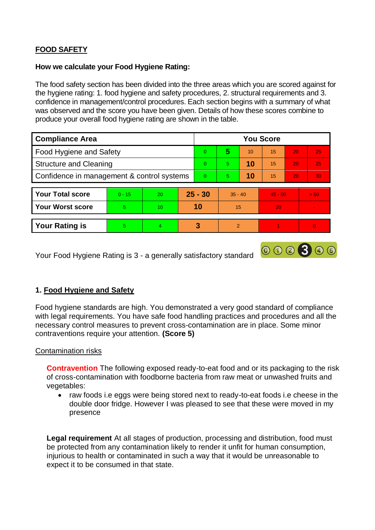# **FOOD SAFETY**

# **How we calculate your Food Hygiene Rating:**

 The food safety section has been divided into the three areas which you are scored against for the hygiene rating: 1. food hygiene and safety procedures, 2. structural requirements and 3. confidence in management/control procedures. Each section begins with a summary of what was observed and the score you have been given. Details of how these scores combine to produce your overall food hygiene rating are shown in the table.

| <b>Compliance Area</b>                     |          |    |           | <b>You Score</b> |                |    |           |    |          |  |  |
|--------------------------------------------|----------|----|-----------|------------------|----------------|----|-----------|----|----------|--|--|
| Food Hygiene and Safety                    |          |    |           | $\Omega$         | 5              | 10 | 15        | 20 | 25       |  |  |
| <b>Structure and Cleaning</b>              |          |    | $\Omega$  | 5                | 10             | 15 | 20        | 25 |          |  |  |
| Confidence in management & control systems |          |    | $\Omega$  | 5                | 10             | 15 | 20        | 30 |          |  |  |
|                                            |          |    |           |                  |                |    |           |    |          |  |  |
| <b>Your Total score</b>                    | $0 - 15$ | 20 | $25 - 30$ |                  | $35 - 40$      |    | $45 - 50$ |    | > 50     |  |  |
| <b>Your Worst score</b>                    | 5        | 10 | 10        |                  | 15             |    | 20        |    |          |  |  |
|                                            |          |    |           |                  |                |    |           |    |          |  |  |
| <b>Your Rating is</b>                      | 5.       | 4  |           | 3                | $\overline{2}$ |    |           |    | $\Omega$ |  |  |

Your Food Hygiene Rating is 3 - a generally satisfactory standard

# **1. Food Hygiene and Safety**

 with legal requirements. You have safe food handling practices and procedures and all the necessary control measures to prevent cross-contamination are in place. Some minor Food hygiene standards are high. You demonstrated a very good standard of compliance contraventions require your attention. **(Score 5)** 

000300

# Contamination risks

 of cross-contamination with foodborne bacteria from raw meat or unwashed fruits and **Contravention** The following exposed ready-to-eat food and or its packaging to the risk vegetables:

• raw foods i.e eggs were being stored next to ready-to-eat foods i.e cheese in the double door fridge. However I was pleased to see that these were moved in my presence

 injurious to health or contaminated in such a way that it would be unreasonable to **Legal requirement** At all stages of production, processing and distribution, food must be protected from any contamination likely to render it unfit for human consumption, expect it to be consumed in that state.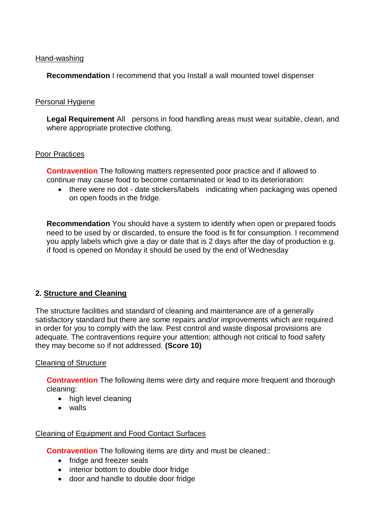### Hand-washing

**Recommendation** I recommend that you Install a wall mounted towel dispenser

### Personal Hygiene

 **Legal Requirement** All persons in food handling areas must wear suitable, clean, and where appropriate protective clothing.

### Poor Practices

 continue may cause food to become contaminated or lead to its deterioration: **Contravention** The following matters represented poor practice and if allowed to

 on open foods in the fridge. there were no dot - date stickers/labels indicating when packaging was opened

 **Recommendation** You should have a system to identify when open or prepared foods need to be used by or discarded, to ensure the food is fit for consumption. I recommend you apply labels which give a day or date that is 2 days after the day of production e.g. if food is opened on Monday it should be used by the end of Wednesday

# **2. Structure and Cleaning**

The structure facilities and standard of cleaning and maintenance are of a generally satisfactory standard but there are some repairs and/or improvements which are required in order for you to comply with the law. Pest control and waste disposal provisions are adequate. The contraventions require your attention; although not critical to food safety they may become so if not addressed. **(Score 10)** 

# Cleaning of Structure

**Contravention** The following items were dirty and require more frequent and thorough cleaning:

- high level cleaning
- walls

# Cleaning of Equipment and Food Contact Surfaces

**Contravention** The following items are dirty and must be cleaned::

- fridge and freezer seals
- interior bottom to double door fridge
- door and handle to double door fridge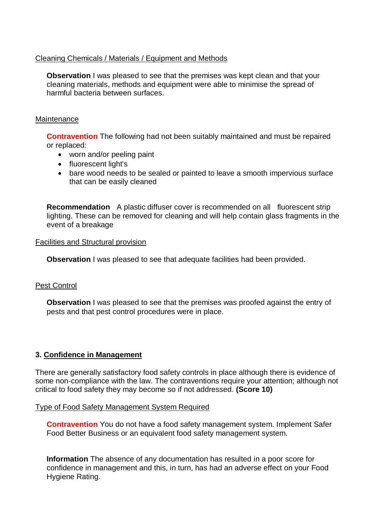# Cleaning Chemicals / Materials / Equipment and Methods

**Observation** I was pleased to see that the premises was kept clean and that your cleaning materials, methods and equipment were able to minimise the spread of harmful bacteria between surfaces.

### **Maintenance**

**Contravention** The following had not been suitably maintained and must be repaired or replaced:

- worn and/or peeling paint
- fluorescent light's
- bare wood needs to be sealed or painted to leave a smooth impervious surface that can be easily cleaned

 **Recommendation** A plastic diffuser cover is recommended on all fluorescent strip lighting. These can be removed for cleaning and will help contain glass fragments in the event of a breakage

#### Facilities and Structural provision

**Observation** I was pleased to see that adequate facilities had been provided.

# Pest Control

**Observation** I was pleased to see that the premises was proofed against the entry of pests and that pest control procedures were in place.

# **3. Confidence in Management**

 There are generally satisfactory food safety controls in place although there is evidence of some non-compliance with the law. The contraventions require your attention; although not critical to food safety they may become so if not addressed. **(Score 10)** 

#### Type of Food Safety Management System Required

**Contravention** You do not have a food safety management system. Implement Safer Food Better Business or an equivalent food safety management system.

**Information** The absence of any documentation has resulted in a poor score for confidence in management and this, in turn, has had an adverse effect on your Food Hygiene Rating.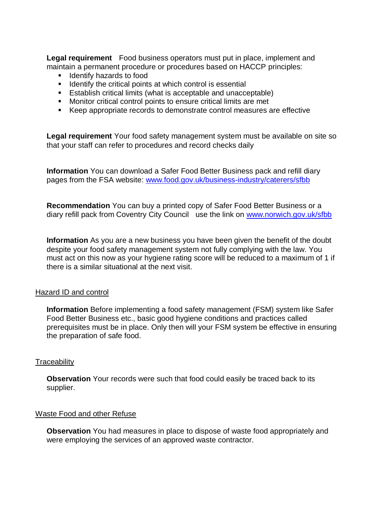**Legal requirement** Food business operators must put in place, implement and maintain a permanent procedure or procedures based on HACCP principles:

- Identify hazards to food
- Identify the critical points at which control is essential
- Establish critical limits (what is acceptable and unacceptable)
- Monitor critical control points to ensure critical limits are met
- Keep appropriate records to demonstrate control measures are effective

**Legal requirement** Your food safety management system must be available on site so that your staff can refer to procedures and record checks daily

**Information** You can download a Safer Food Better Business pack and refill diary pages from the FSA website: [www.food.gov.uk/business-industry/caterers/sfbb](http://www.food.gov.uk/business-industry/caterers/sfbb) 

diary refill pack from Coventry City Council use the link on www.norwich.gov.uk/sfbb **Recommendation** You can buy a printed copy of Safer Food Better Business or a

 **Information** As you are a new business you have been given the benefit of the doubt despite your food safety management system not fully complying with the law. You must act on this now as your hygiene rating score will be reduced to a maximum of 1 if there is a similar situational at the next visit.

# Hazard ID and control

 prerequisites must be in place. Only then will your FSM system be effective in ensuring **Information** Before implementing a food safety management (FSM) system like Safer Food Better Business etc., basic good hygiene conditions and practices called the preparation of safe food.

# **Traceability**

**Observation** Your records were such that food could easily be traced back to its supplier.

# Waste Food and other Refuse

**Observation** You had measures in place to dispose of waste food appropriately and were employing the services of an approved waste contractor.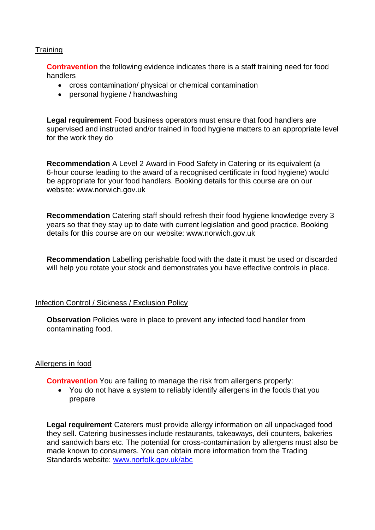# **Training**

 **Contravention** the following evidence indicates there is a staff training need for food handlers

- cross contamination/ physical or chemical contamination
- personal hygiene / handwashing

 supervised and instructed and/or trained in food hygiene matters to an appropriate level **Legal requirement** Food business operators must ensure that food handlers are for the work they do

 **Recommendation** A Level 2 Award in Food Safety in Catering or its equivalent (a be appropriate for your food handlers. Booking details for this course are on our 6-hour course leading to the award of a recognised certificate in food hygiene) would website: <www.norwich.gov.uk>

 years so that they stay up to date with current legislation and good practice. Booking **Recommendation** Catering staff should refresh their food hygiene knowledge every 3 details for this course are on our website:<www.norwich.gov.uk>

 **Recommendation** Labelling perishable food with the date it must be used or discarded will help you rotate your stock and demonstrates you have effective controls in place.

# Infection Control / Sickness / Exclusion Policy

**Observation** Policies were in place to prevent any infected food handler from contaminating food.

# Allergens in food

**Contravention** You are failing to manage the risk from allergens properly:

 You do not have a system to reliably identify allergens in the foods that you prepare

**Legal requirement** Caterers must provide allergy information on all unpackaged food they sell. Catering businesses include restaurants, takeaways, deli counters, bakeries and sandwich bars etc. The potential for cross-contamination by allergens must also be made known to consumers. You can obtain more information from the Trading Standards website: [www.norfolk.gov.uk/abc](http://www.norfolk.gov.uk/abc)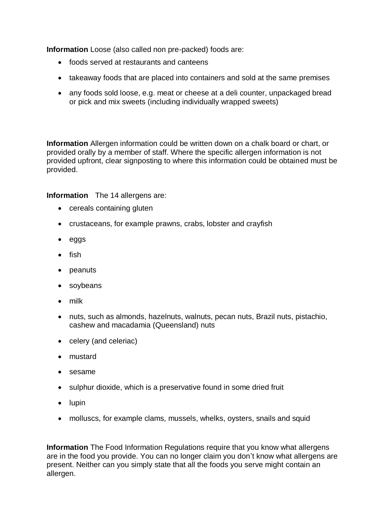**Information** Loose (also called non pre-packed) foods are:

- foods served at restaurants and canteens
- takeaway foods that are placed into containers and sold at the same premises
- any foods sold loose, e.g. meat or cheese at a deli counter, unpackaged bread or pick and mix sweets (including individually wrapped sweets)

 provided orally by a member of staff. Where the specific allergen information is not **Information** Allergen information could be written down on a chalk board or chart, or provided upfront, clear signposting to where this information could be obtained must be provided.

**Information** The 14 allergens are:

- cereals containing gluten
- crustaceans, for example prawns, crabs, lobster and crayfish
- eggs
- $\bullet$  fish
- peanuts
- soybeans
- milk
- nuts, such as almonds, hazelnuts, walnuts, pecan nuts, Brazil nuts, pistachio, cashew and macadamia (Queensland) nuts
- celery (and celeriac)
- mustard
- sesame
- sulphur dioxide, which is a preservative found in some dried fruit
- $\bullet$  lupin
- molluscs, for example clams, mussels, whelks, oysters, snails and squid

 present. Neither can you simply state that all the foods you serve might contain an **Information** The Food Information Regulations require that you know what allergens are in the food you provide. You can no longer claim you don't know what allergens are allergen.